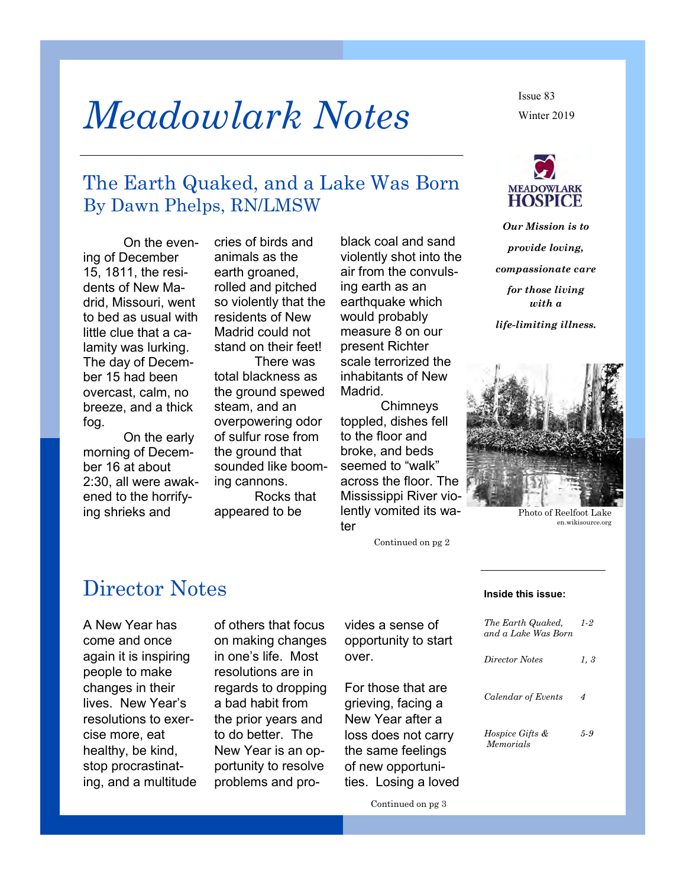# *Meadowlark Notes*

The Earth Quaked, and a Lake Was Born By Dawn Phelps, RN/LMSW

On the evening of December 15, 1811, the residents of New Madrid, Missouri, went to bed as usual with little clue that a calamity was lurking. The day of December 15 had been overcast, calm, no breeze, and a thick fog.

On the early morning of December 16 at about 2:30, all were awakened to the horrifying shrieks and

cries of birds and animals as the earth groaned. rolled and pitched so violently that the residents of New Madrid could not stand on their feet!

There was total blackness as the ground spewed steam, and an overpowering odor of sulfur rose from the ground that sounded like booming cannons. Rocks that appeared to be

black coal and sand violently shot into the air from the convulsing earth as an earthquake which would probably measure 8 on our present Richter scale terrorized the inhabitants of New Madrid.

**Chimneys** toppled, dishes fell to the floor and broke, and beds seemed to "walk" across the floor. The Mississippi River violently vomited its water

Continued on pg 2

Winter 2019 Issue 83



*Our Mission is to provide loving, compassionate care for those living with a life-limiting illness.*



Photo of Reelfoot Lake en.wikisource.org

### Director Notes

A New Year has come and once again it is inspiring people to make changes in their lives. New Year's resolutions to exercise more, eat healthy, be kind, stop procrastinating, and a multitude of others that focus on making changes in one's life. Most resolutions are in regards to dropping a bad habit from the prior years and to do better. The New Year is an opportunity to resolve problems and provides a sense of opportunity to start over.

For those that are grieving, facing a New Year after a loss does not carry the same feelings of new opportunities. Losing a loved

#### **Inside this issue:**

| The Earth Quaked,<br>and a Lake Was Born | 1-2  |
|------------------------------------------|------|
| Director Notes                           | 1, 3 |
| Calendar of Events                       | 4    |
| <i>Hospice Gifts &amp;</i><br>Memorials  | 5-9  |
|                                          |      |

Continued on pg 3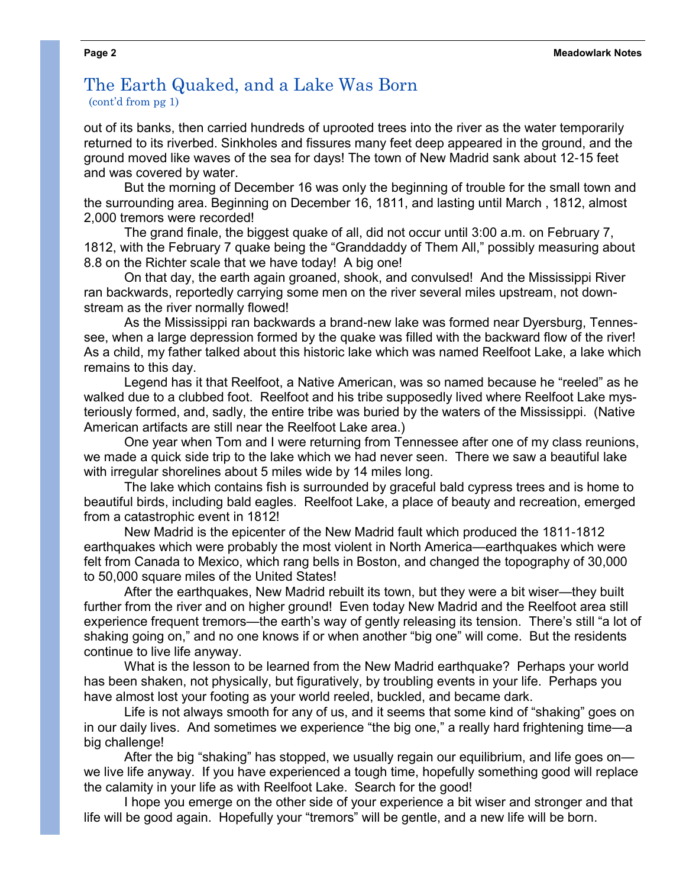#### The Earth Quaked, and a Lake Was Born (cont'd from pg 1)

out of its banks, then carried hundreds of uprooted trees into the river as the water temporarily returned to its riverbed. Sinkholes and fissures many feet deep appeared in the ground, and the ground moved like waves of the sea for days! The town of New Madrid sank about 12-15 feet and was covered by water.

But the morning of December 16 was only the beginning of trouble for the small town and the surrounding area. Beginning on December 16, 1811, and lasting until March , 1812, almost 2,000 tremors were recorded!

The grand finale, the biggest quake of all, did not occur until 3:00 a.m. on February 7, 1812, with the February 7 quake being the "Granddaddy of Them All," possibly measuring about 8.8 on the Richter scale that we have today! A big one!

On that day, the earth again groaned, shook, and convulsed! And the Mississippi River ran backwards, reportedly carrying some men on the river several miles upstream, not downstream as the river normally flowed!

As the Mississippi ran backwards a brand-new lake was formed near Dyersburg, Tennessee, when a large depression formed by the quake was filled with the backward flow of the river! As a child, my father talked about this historic lake which was named Reelfoot Lake, a lake which remains to this day.

Legend has it that Reelfoot, a Native American, was so named because he "reeled" as he walked due to a clubbed foot. Reelfoot and his tribe supposedly lived where Reelfoot Lake mysteriously formed, and, sadly, the entire tribe was buried by the waters of the Mississippi. (Native American artifacts are still near the Reelfoot Lake area.)

One year when Tom and I were returning from Tennessee after one of my class reunions, we made a quick side trip to the lake which we had never seen. There we saw a beautiful lake with irregular shorelines about 5 miles wide by 14 miles long.

The lake which contains fish is surrounded by graceful bald cypress trees and is home to beautiful birds, including bald eagles. Reelfoot Lake, a place of beauty and recreation, emerged from a catastrophic event in 1812!

New Madrid is the epicenter of the New Madrid fault which produced the 1811-1812 earthquakes which were probably the most violent in North America—earthquakes which were felt from Canada to Mexico, which rang bells in Boston, and changed the topography of 30,000 to 50,000 square miles of the United States!

After the earthquakes, New Madrid rebuilt its town, but they were a bit wiser—they built further from the river and on higher ground! Even today New Madrid and the Reelfoot area still experience frequent tremors—the earth's way of gently releasing its tension. There's still "a lot of shaking going on," and no one knows if or when another "big one" will come. But the residents continue to live life anyway.

What is the lesson to be learned from the New Madrid earthquake? Perhaps your world has been shaken, not physically, but figuratively, by troubling events in your life. Perhaps you have almost lost your footing as your world reeled, buckled, and became dark.

Life is not always smooth for any of us, and it seems that some kind of "shaking" goes on in our daily lives. And sometimes we experience "the big one," a really hard frightening time—a big challenge!

After the big "shaking" has stopped, we usually regain our equilibrium, and life goes on we live life anyway. If you have experienced a tough time, hopefully something good will replace the calamity in your life as with Reelfoot Lake. Search for the good!

I hope you emerge on the other side of your experience a bit wiser and stronger and that life will be good again. Hopefully your "tremors" will be gentle, and a new life will be born.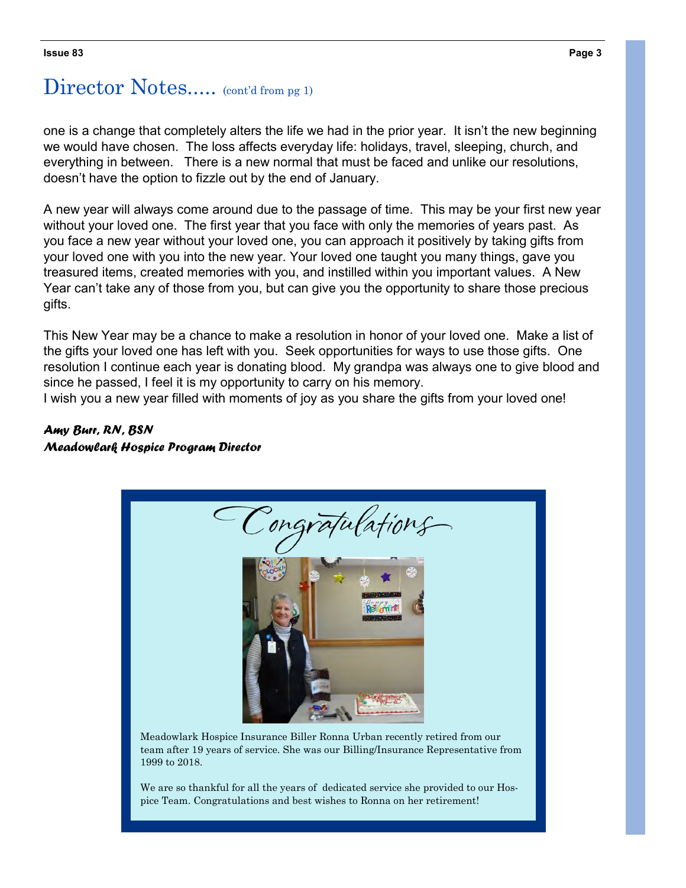## Director Notes..... (cont'd from pg 1)

one is a change that completely alters the life we had in the prior year. It isn't the new beginning we would have chosen. The loss affects everyday life: holidays, travel, sleeping, church, and everything in between. There is a new normal that must be faced and unlike our resolutions, doesn't have the option to fizzle out by the end of January.

A new year will always come around due to the passage of time. This may be your first new year without your loved one. The first year that you face with only the memories of years past. As you face a new year without your loved one, you can approach it positively by taking gifts from your loved one with you into the new year. Your loved one taught you many things, gave you treasured items, created memories with you, and instilled within you important values. A New Year can't take any of those from you, but can give you the opportunity to share those precious gifts.

This New Year may be a chance to make a resolution in honor of your loved one. Make a list of the gifts your loved one has left with you. Seek opportunities for ways to use those gifts. One resolution I continue each year is donating blood. My grandpa was always one to give blood and since he passed, I feel it is my opportunity to carry on his memory.

I wish you a new year filled with moments of joy as you share the gifts from your loved one!

#### *Amy Burr, RN, BSN Meadowlark Hospice Program Director*

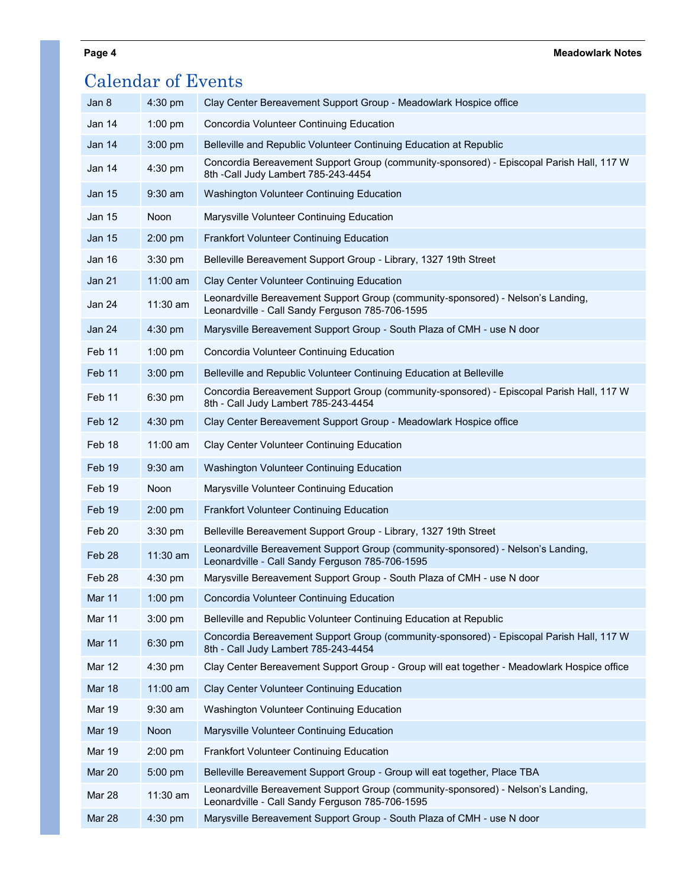#### **Page 4 Meadowlark Notes**

| <b>Calendar of Events</b> |            |                                                                                                                                     |  |  |
|---------------------------|------------|-------------------------------------------------------------------------------------------------------------------------------------|--|--|
| Jan 8                     | $4:30$ pm  | Clay Center Bereavement Support Group - Meadowlark Hospice office                                                                   |  |  |
| Jan 14                    | $1:00$ pm  | Concordia Volunteer Continuing Education                                                                                            |  |  |
| Jan 14                    | $3:00$ pm  | Belleville and Republic Volunteer Continuing Education at Republic                                                                  |  |  |
| Jan 14                    | 4:30 pm    | Concordia Bereavement Support Group (community-sponsored) - Episcopal Parish Hall, 117 W<br>8th -Call Judy Lambert 785-243-4454     |  |  |
| <b>Jan 15</b>             | $9:30$ am  | Washington Volunteer Continuing Education                                                                                           |  |  |
| Jan 15                    | Noon       | Marysville Volunteer Continuing Education                                                                                           |  |  |
| <b>Jan 15</b>             | $2:00$ pm  | <b>Frankfort Volunteer Continuing Education</b>                                                                                     |  |  |
| Jan 16                    | $3:30$ pm  | Belleville Bereavement Support Group - Library, 1327 19th Street                                                                    |  |  |
| Jan 21                    | $11:00$ am | Clay Center Volunteer Continuing Education                                                                                          |  |  |
| Jan 24                    | 11:30 am   | Leonardville Bereavement Support Group (community-sponsored) - Nelson's Landing,<br>Leonardville - Call Sandy Ferguson 785-706-1595 |  |  |
| <b>Jan 24</b>             | $4:30$ pm  | Marysville Bereavement Support Group - South Plaza of CMH - use N door                                                              |  |  |
| Feb <sub>11</sub>         | $1:00$ pm  | Concordia Volunteer Continuing Education                                                                                            |  |  |
| Feb 11                    | $3:00$ pm  | Belleville and Republic Volunteer Continuing Education at Belleville                                                                |  |  |
| Feb 11                    | $6:30$ pm  | Concordia Bereavement Support Group (community-sponsored) - Episcopal Parish Hall, 117 W<br>8th - Call Judy Lambert 785-243-4454    |  |  |
| Feb 12                    | $4:30$ pm  | Clay Center Bereavement Support Group - Meadowlark Hospice office                                                                   |  |  |
| Feb 18                    | $11:00$ am | Clay Center Volunteer Continuing Education                                                                                          |  |  |
| Feb 19                    | $9:30$ am  | Washington Volunteer Continuing Education                                                                                           |  |  |
| Feb 19                    | Noon       | Marysville Volunteer Continuing Education                                                                                           |  |  |
| Feb 19                    | $2:00$ pm  | <b>Frankfort Volunteer Continuing Education</b>                                                                                     |  |  |
| Feb <sub>20</sub>         | 3:30 pm    | Belleville Bereavement Support Group - Library, 1327 19th Street                                                                    |  |  |
| Feb <sub>28</sub>         | $11:30$ am | Leonardville Bereavement Support Group (community-sponsored) - Nelson's Landing,<br>Leonardville - Call Sandy Ferguson 785-706-1595 |  |  |
| Feb <sub>28</sub>         | $4:30$ pm  | Marysville Bereavement Support Group - South Plaza of CMH - use N door                                                              |  |  |
| Mar 11                    | 1:00 pm    | Concordia Volunteer Continuing Education                                                                                            |  |  |
| Mar 11                    | $3:00$ pm  | Belleville and Republic Volunteer Continuing Education at Republic                                                                  |  |  |
| <b>Mar 11</b>             | 6:30 pm    | Concordia Bereavement Support Group (community-sponsored) - Episcopal Parish Hall, 117 W<br>8th - Call Judy Lambert 785-243-4454    |  |  |
| Mar 12                    | $4:30$ pm  | Clay Center Bereavement Support Group - Group will eat together - Meadowlark Hospice office                                         |  |  |
| <b>Mar 18</b>             | $11:00$ am | Clay Center Volunteer Continuing Education                                                                                          |  |  |
| <b>Mar 19</b>             | $9:30$ am  | Washington Volunteer Continuing Education                                                                                           |  |  |
| <b>Mar 19</b>             | Noon       | Marysville Volunteer Continuing Education                                                                                           |  |  |
| <b>Mar 19</b>             | 2:00 pm    | <b>Frankfort Volunteer Continuing Education</b>                                                                                     |  |  |
| <b>Mar 20</b>             | 5:00 pm    | Belleville Bereavement Support Group - Group will eat together, Place TBA                                                           |  |  |
| <b>Mar 28</b>             | $11:30$ am | Leonardville Bereavement Support Group (community-sponsored) - Nelson's Landing,<br>Leonardville - Call Sandy Ferguson 785-706-1595 |  |  |
| Mar 28                    | 4:30 pm    | Marysville Bereavement Support Group - South Plaza of CMH - use N door                                                              |  |  |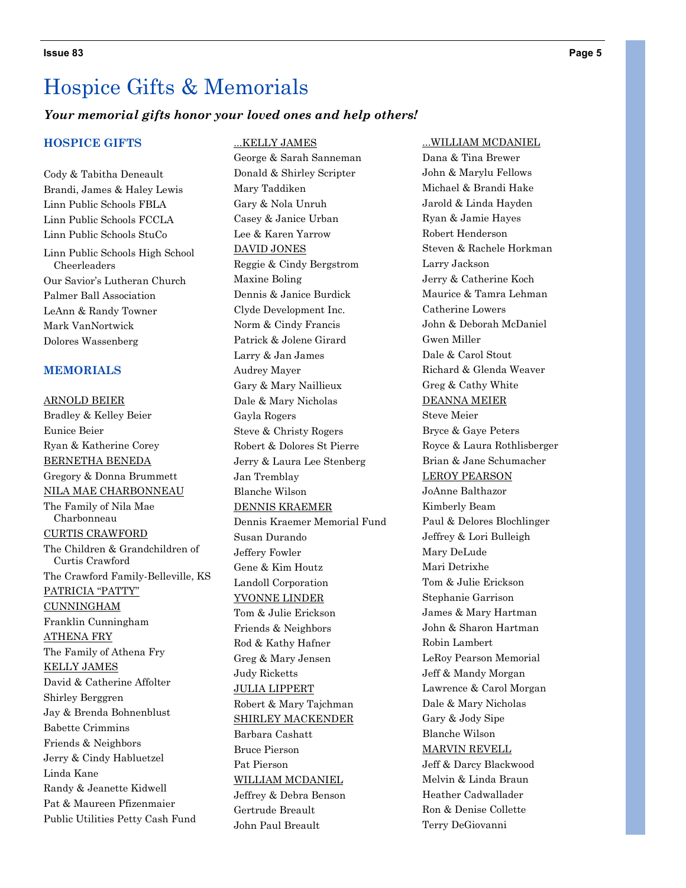#### *Your memorial gifts honor your loved ones and help others!*

#### **HOSPICE GIFTS**

Cody & Tabitha Deneault Brandi, James & Haley Lewis Linn Public Schools FBLA Linn Public Schools FCCLA Linn Public Schools StuCo Linn Public Schools High School Cheerleaders Our Savior's Lutheran Church Palmer Ball Association LeAnn & Randy Towner Mark VanNortwick Dolores Wassenberg

#### **MEMORIALS**

ARNOLD BEIER Bradley & Kelley Beier Eunice Beier Ryan & Katherine Corey BERNETHA BENEDA Gregory & Donna Brummett NILA MAE CHARBONNEAU The Family of Nila Mae Charbonneau CURTIS CRAWFORD The Children & Grandchildren of Curtis Crawford The Crawford Family-Belleville, KS PATRICIA "PATTY" CUNNINGHAM Franklin Cunningham ATHENA FRY The Family of Athena Fry KELLY JAMES David & Catherine Affolter Shirley Berggren Jay & Brenda Bohnenblust Babette Crimmins Friends & Neighbors Jerry & Cindy Habluetzel Linda Kane Randy & Jeanette Kidwell Pat & Maureen Pfizenmaier Public Utilities Petty Cash Fund

...KELLY JAMES George & Sarah Sanneman Donald & Shirley Scripter Mary Taddiken Gary & Nola Unruh Casey & Janice Urban Lee & Karen Yarrow DAVID JONES Reggie & Cindy Bergstrom Maxine Boling Dennis & Janice Burdick Clyde Development Inc. Norm & Cindy Francis Patrick & Jolene Girard Larry & Jan James Audrey Mayer Gary & Mary Naillieux Dale & Mary Nicholas Gayla Rogers Steve & Christy Rogers Robert & Dolores St Pierre Jerry & Laura Lee Stenberg Jan Tremblay Blanche Wilson DENNIS KRAEMER Dennis Kraemer Memorial Fund Susan Durando Jeffery Fowler Gene & Kim Houtz Landoll Corporation YVONNE LINDER Tom & Julie Erickson Friends & Neighbors Rod & Kathy Hafner Greg & Mary Jensen Judy Ricketts JULIA LIPPERT Robert & Mary Tajchman SHIRLEY MACKENDER Barbara Cashatt Bruce Pierson Pat Pierson WILLIAM MCDANIEL Jeffrey & Debra Benson Gertrude Breault John Paul Breault

#### ...WILLIAM MCDANIEL

Dana & Tina Brewer John & Marylu Fellows Michael & Brandi Hake Jarold & Linda Hayden Ryan & Jamie Hayes Robert Henderson Steven & Rachele Horkman Larry Jackson Jerry & Catherine Koch Maurice & Tamra Lehman Catherine Lowers John & Deborah McDaniel Gwen Miller Dale & Carol Stout Richard & Glenda Weaver Greg & Cathy White DEANNA MEIER Steve Meier Bryce & Gaye Peters Royce & Laura Rothlisberger Brian & Jane Schumacher LEROY PEARSON JoAnne Balthazor Kimberly Beam Paul & Delores Blochlinger Jeffrey & Lori Bulleigh Mary DeLude Mari Detrixhe Tom & Julie Erickson Stephanie Garrison James & Mary Hartman John & Sharon Hartman Robin Lambert LeRoy Pearson Memorial Jeff & Mandy Morgan Lawrence & Carol Morgan Dale & Mary Nicholas Gary & Jody Sipe Blanche Wilson MARVIN REVELL Jeff & Darcy Blackwood Melvin & Linda Braun Heather Cadwallader Ron & Denise Collette Terry DeGiovanni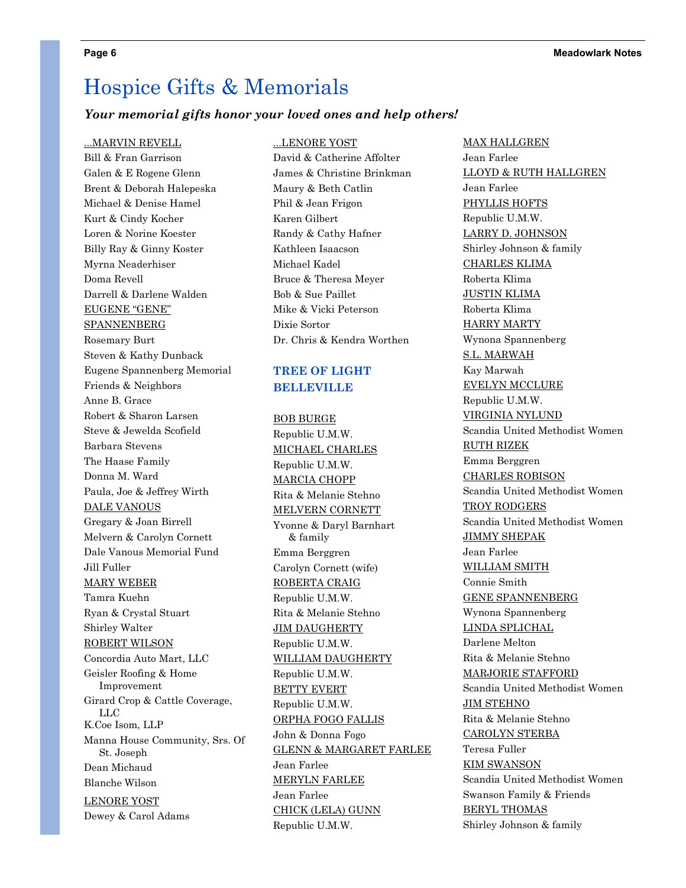#### *Your memorial gifts honor your loved ones and help others!*

#### ...MARVIN REVELL

Bill & Fran Garrison Galen & E Rogene Glenn Brent & Deborah Halepeska Michael & Denise Hamel Kurt & Cindy Kocher Loren & Norine Koester Billy Ray & Ginny Koster Myrna Neaderhiser Doma Revell Darrell & Darlene Walden EUGENE "GENE" **SPANNENBERG** Rosemary Burt Steven & Kathy Dunback Eugene Spannenberg Memorial Friends & Neighbors Anne B. Grace Robert & Sharon Larsen Steve & Jewelda Scofield Barbara Stevens The Haase Family Donna M. Ward Paula, Joe & Jeffrey Wirth DALE VANOUS Gregary & Joan Birrell Melvern & Carolyn Cornett Dale Vanous Memorial Fund Jill Fuller MARY WEBER Tamra Kuehn Ryan & Crystal Stuart Shirley Walter ROBERT WILSON Concordia Auto Mart, LLC Geisler Roofing & Home Improvement Girard Crop & Cattle Coverage, LLC K.Coe Isom, LLP Manna House Community, Srs. Of St. Joseph Dean Michaud Blanche Wilson LENORE YOST Dewey & Carol Adams

#### ...LENORE YOST

David & Catherine Affolter James & Christine Brinkman Maury & Beth Catlin Phil & Jean Frigon Karen Gilbert Randy & Cathy Hafner Kathleen Isaacson Michael Kadel Bruce & Theresa Meyer Bob & Sue Paillet Mike & Vicki Peterson Dixie Sortor Dr. Chris & Kendra Worthen

#### **TREE OF LIGHT BELLEVILLE**

BOB BURGE Republic U.M.W. MICHAEL CHARLES Republic U.M.W. MARCIA CHOPP Rita & Melanie Stehno MELVERN CORNETT Yvonne & Daryl Barnhart & family Emma Berggren Carolyn Cornett (wife) ROBERTA CRAIG Republic U.M.W. Rita & Melanie Stehno **JIM DAUGHERTY** Republic U.M.W. WILLIAM DAUGHERTY Republic U.M.W. BETTY EVERT Republic U.M.W. ORPHA FOGO FALLIS John & Donna Fogo GLENN & MARGARET FARLEE Jean Farlee MERYLN FARLEE Jean Farlee CHICK (LELA) GUNN Republic U.M.W.

MAX HALLGREN Jean Farlee LLOYD & RUTH HALLGREN Jean Farlee PHYLLIS HOFTS Republic U.M.W. LARRY D. JOHNSON Shirley Johnson & family CHARLES KLIMA Roberta Klima JUSTIN KLIMA Roberta Klima HARRY MARTY Wynona Spannenberg S.L. MARWAH Kay Marwah EVELYN MCCLURE Republic U.M.W. VIRGINIA NYLUND Scandia United Methodist Women RUTH RIZEK Emma Berggren CHARLES ROBISON Scandia United Methodist Women TROY RODGERS Scandia United Methodist Women JIMMY SHEPAK Jean Farlee WILLIAM SMITH Connie Smith GENE SPANNENBERG Wynona Spannenberg LINDA SPLICHAL Darlene Melton Rita & Melanie Stehno MARJORIE STAFFORD Scandia United Methodist Women JIM STEHNO Rita & Melanie Stehno CAROLYN STERBA Teresa Fuller KIM SWANSON Scandia United Methodist Women Swanson Family & Friends BERYL THOMAS Shirley Johnson & family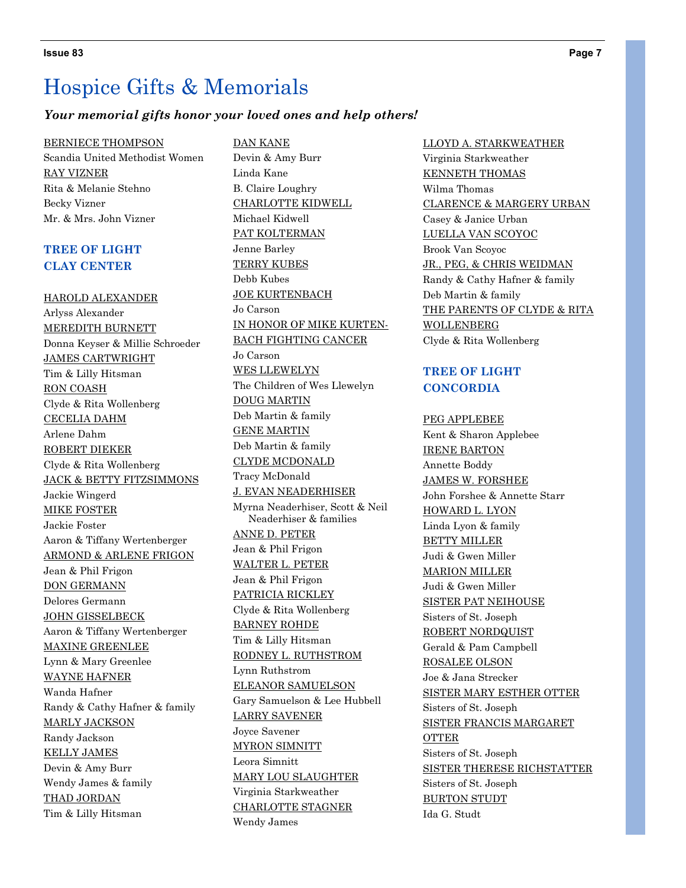#### *Your memorial gifts honor your loved ones and help others!*

BERNIECE THOMPSON Scandia United Methodist Women RAY VIZNER Rita & Melanie Stehno Becky Vizner Mr. & Mrs. John Vizner

#### **TREE OF LIGHT CLAY CENTER**

HAROLD ALEXANDER Arlyss Alexander MEREDITH BURNETT Donna Keyser & Millie Schroeder JAMES CARTWRIGHT Tim & Lilly Hitsman RON COASH Clyde & Rita Wollenberg CECELIA DAHM Arlene Dahm ROBERT DIEKER Clyde & Rita Wollenberg JACK & BETTY FITZSIMMONS Jackie Wingerd MIKE FOSTER Jackie Foster Aaron & Tiffany Wertenberger ARMOND & ARLENE FRIGON Jean & Phil Frigon DON GERMANN Delores Germann JOHN GISSELBECK Aaron & Tiffany Wertenberger MAXINE GREENLEE Lynn & Mary Greenlee WAYNE HAFNER Wanda Hafner Randy & Cathy Hafner & family MARLY JACKSON Randy Jackson KELLY JAMES Devin & Amy Burr Wendy James & family THAD JORDAN Tim & Lilly Hitsman

DAN KANE Devin & Amy Burr Linda Kane B. Claire Loughry CHARLOTTE KIDWELL Michael Kidwell PAT KOLTERMAN Jenne Barley TERRY KUBES Debb Kubes JOE KURTENBACH Jo Carson IN HONOR OF MIKE KURTEN-BACH FIGHTING CANCER Jo Carson WES LLEWELYN The Children of Wes Llewelyn DOUG MARTIN Deb Martin & family GENE MARTIN Deb Martin & family CLYDE MCDONALD Tracy McDonald J. EVAN NEADERHISER Myrna Neaderhiser, Scott & Neil Neaderhiser & families ANNE D. PETER Jean & Phil Frigon WALTER L. PETER Jean & Phil Frigon PATRICIA RICKLEY Clyde & Rita Wollenberg BARNEY ROHDE Tim & Lilly Hitsman RODNEY L. RUTHSTROM Lynn Ruthstrom ELEANOR SAMUELSON Gary Samuelson & Lee Hubbell LARRY SAVENER Joyce Savener MYRON SIMNITT Leora Simnitt MARY LOU SLAUGHTER Virginia Starkweather CHARLOTTE STAGNER Wendy James

LLOYD A. STARKWEATHER Virginia Starkweather KENNETH THOMAS Wilma Thomas CLARENCE & MARGERY URBAN Casey & Janice Urban LUELLA VAN SCOYOC Brook Van Scoyoc JR., PEG, & CHRIS WEIDMAN Randy & Cathy Hafner & family Deb Martin & family THE PARENTS OF CLYDE & RITA WOLLENBERG Clyde & Rita Wollenberg

#### **TREE OF LIGHT CONCORDIA**

PEG APPLEBEE Kent & Sharon Applebee IRENE BARTON Annette Boddy JAMES W. FORSHEE John Forshee & Annette Starr HOWARD L. LYON Linda Lyon & family BETTY MILLER Judi & Gwen Miller MARION MILLER Judi & Gwen Miller SISTER PAT NEIHOUSE Sisters of St. Joseph ROBERT NORDQUIST Gerald & Pam Campbell ROSALEE OLSON Joe & Jana Strecker SISTER MARY ESTHER OTTER Sisters of St. Joseph SISTER FRANCIS MARGARET OTTER Sisters of St. Joseph SISTER THERESE RICHSTATTER Sisters of St. Joseph BURTON STUDT Ida G. Studt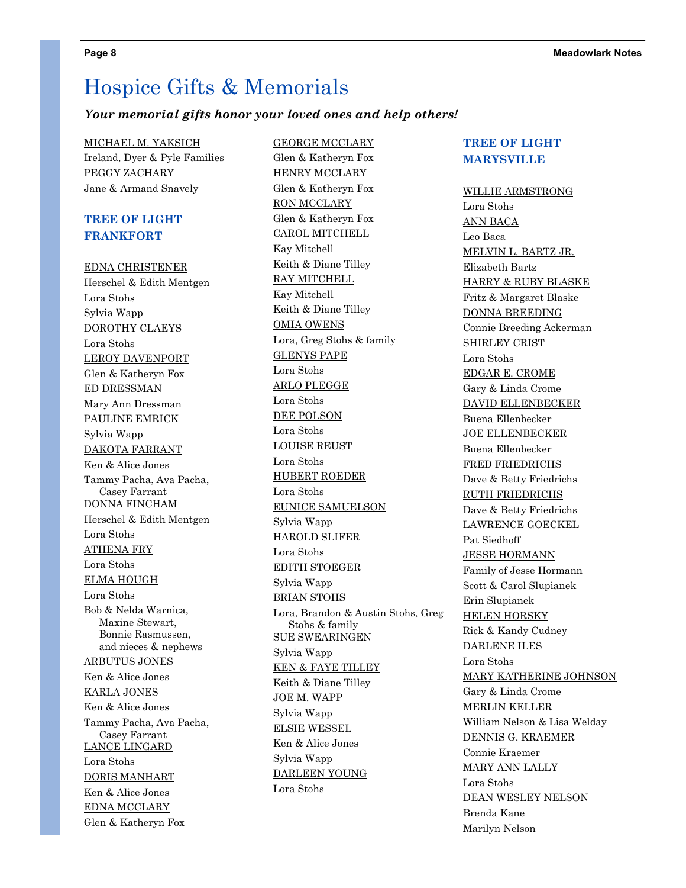#### *Your memorial gifts honor your loved ones and help others!*

MICHAEL M. YAKSICH Ireland, Dyer & Pyle Families PEGGY ZACHARY Jane & Armand Snavely

#### **TREE OF LIGHT FRANKFORT**

EDNA CHRISTENER Herschel & Edith Mentgen Lora Stohs Sylvia Wapp DOROTHY CLAEYS Lora Stohs LEROY DAVENPORT Glen & Katheryn Fox ED DRESSMAN Mary Ann Dressman PAULINE EMRICK Sylvia Wapp DAKOTA FARRANT Ken & Alice Jones Tammy Pacha, Ava Pacha, Casey Farrant DONNA FINCHAM Herschel & Edith Mentgen Lora Stohs ATHENA FRY Lora Stohs ELMA HOUGH Lora Stohs Bob & Nelda Warnica, Maxine Stewart, Bonnie Rasmussen, and nieces & nephews ARBUTUS JONES Ken & Alice Jones KARLA JONES Ken & Alice Jones Tammy Pacha, Ava Pacha, Casey Farrant LANCE LINGARD Lora Stohs DORIS MANHART Ken & Alice Jones EDNA MCCLARY Glen & Katheryn Fox

GEORGE MCCLARY Glen & Katheryn Fox HENRY MCCLARY Glen & Katheryn Fox RON MCCLARY Glen & Katheryn Fox CAROL MITCHELL Kay Mitchell Keith & Diane Tilley RAY MITCHELL Kay Mitchell Keith & Diane Tilley OMIA OWENS Lora, Greg Stohs & family GLENYS PAPE Lora Stohs ARLO PLEGGE Lora Stohs DEE POLSON Lora Stohs LOUISE REUST Lora Stohs HUBERT ROEDER Lora Stohs EUNICE SAMUELSON Sylvia Wapp HAROLD SLIFER Lora Stohs EDITH STOEGER Sylvia Wapp BRIAN STOHS Lora, Brandon & Austin Stohs, Greg Stohs & family SUE SWEARINGEN Sylvia Wapp KEN & FAYE TILLEY Keith & Diane Tilley JOE M. WAPP Sylvia Wapp ELSIE WESSEL Ken & Alice Jones Sylvia Wapp DARLEEN YOUNG Lora Stohs

#### **TREE OF LIGHT MARYSVILLE**

WILLIE ARMSTRONG Lora Stohs ANN BACA Leo Baca MELVIN L. BARTZ JR. Elizabeth Bartz HARRY & RUBY BLASKE Fritz & Margaret Blaske DONNA BREEDING Connie Breeding Ackerman SHIRLEY CRIST Lora Stohs EDGAR E. CROME Gary & Linda Crome DAVID ELLENBECKER Buena Ellenbecker JOE ELLENBECKER Buena Ellenbecker FRED FRIEDRICHS Dave & Betty Friedrichs RUTH FRIEDRICHS Dave & Betty Friedrichs LAWRENCE GOECKEL Pat Siedhoff JESSE HORMANN Family of Jesse Hormann Scott & Carol Slupianek Erin Slupianek HELEN HORSKY Rick & Kandy Cudney DARLENE ILES Lora Stohs MARY KATHERINE JOHNSON Gary & Linda Crome MERLIN KELLER William Nelson & Lisa Welday DENNIS G. KRAEMER Connie Kraemer MARY ANN LALLY Lora Stohs DEAN WESLEY NELSON Brenda Kane Marilyn Nelson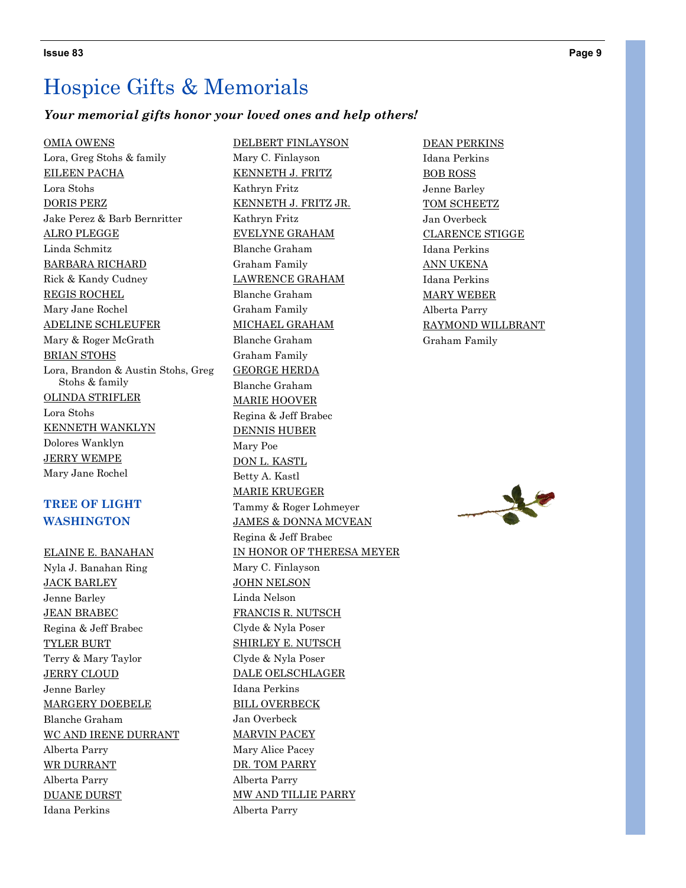#### *Your memorial gifts honor your loved ones and help others!*

#### OMIA OWENS

Lora, Greg Stohs & family EILEEN PACHA Lora Stohs DORIS PERZ Jake Perez & Barb Bernritter ALRO PLEGGE Linda Schmitz BARBARA RICHARD Rick & Kandy Cudney REGIS ROCHEL Mary Jane Rochel ADELINE SCHLEUFER Mary & Roger McGrath BRIAN STOHS Lora, Brandon & Austin Stohs, Greg Stohs & family OLINDA STRIFLER Lora Stohs KENNETH WANKLYN Dolores Wanklyn JERRY WEMPE Mary Jane Rochel

#### **TREE OF LIGHT WASHINGTON**

ELAINE E. BANAHAN Nyla J. Banahan Ring JACK BARLEY Jenne Barley JEAN BRABEC Regina & Jeff Brabec TYLER BURT Terry & Mary Taylor JERRY CLOUD Jenne Barley MARGERY DOEBELE Blanche Graham WC AND IRENE DURRANT Alberta Parry WR DURRANT Alberta Parry DUANE DURST Idana Perkins

DELBERT FINLAYSON Mary C. Finlayson KENNETH J. FRITZ Kathryn Fritz KENNETH J. FRITZ JR. Kathryn Fritz EVELYNE GRAHAM Blanche Graham Graham Family LAWRENCE GRAHAM Blanche Graham Graham Family MICHAEL GRAHAM Blanche Graham Graham Family GEORGE HERDA Blanche Graham MARIE HOOVER Regina & Jeff Brabec DENNIS HUBER Mary Poe DON L. KASTL Betty A. Kastl MARIE KRUEGER Tammy & Roger Lohmeyer JAMES & DONNA MCVEAN Regina & Jeff Brabec IN HONOR OF THERESA MEYER Mary C. Finlayson JOHN NELSON Linda Nelson FRANCIS R. NUTSCH Clyde & Nyla Poser SHIRLEY E. NUTSCH Clyde & Nyla Poser DALE OELSCHLAGER Idana Perkins BILL OVERBECK Jan Overbeck MARVIN PACEY Mary Alice Pacey DR. TOM PARRY Alberta Parry MW AND TILLIE PARRY Alberta Parry

DEAN PERKINS Idana Perkins BOB ROSS Jenne Barley TOM SCHEETZ Jan Overbeck CLARENCE STIGGE Idana Perkins ANN UKENA Idana Perkins MARY WEBER Alberta Parry RAYMOND WILLBRANT Graham Family